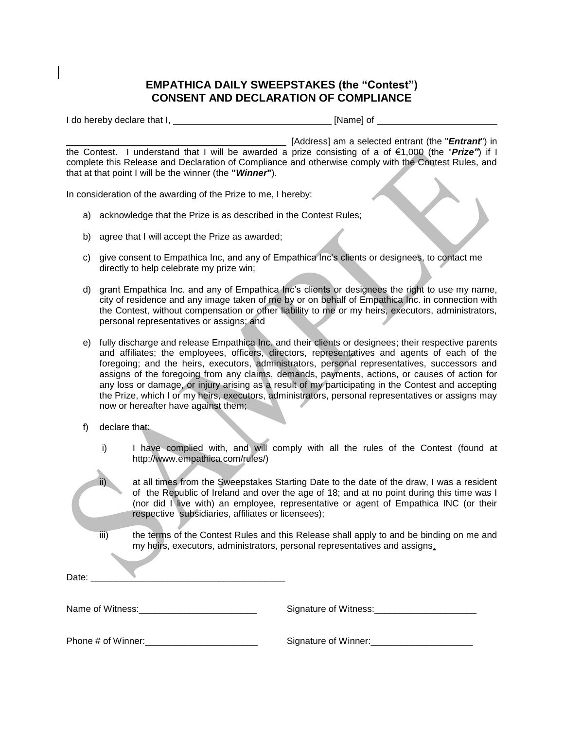## **EMPATHICA DAILY SWEEPSTAKES (the "Contest") CONSENT AND DECLARATION OF COMPLIANCE**

I do hereby declare that I, [Name] of

 [Address] am a selected entrant (the "*Entrant*") in the Contest. I understand that I will be awarded a prize consisting of a of €1,000 (the "*Prize"*) if I complete this Release and Declaration of Compliance and otherwise comply with the Contest Rules, and that at that point I will be the winner (the **"***Winner***"**).

In consideration of the awarding of the Prize to me, I hereby:

- a) acknowledge that the Prize is as described in the Contest Rules;
- b) agree that I will accept the Prize as awarded;
- c) give consent to Empathica Inc, and any of Empathica Inc's clients or designees, to contact me directly to help celebrate my prize win;
- d) grant Empathica Inc. and any of Empathica Inc's clients or designees the right to use my name, city of residence and any image taken of me by or on behalf of Empathica Inc. in connection with the Contest, without compensation or other liability to me or my heirs, executors, administrators, personal representatives or assigns; and
- e) fully discharge and release Empathica Inc. and their clients or designees; their respective parents and affiliates; the employees, officers, directors, representatives and agents of each of the foregoing; and the heirs, executors, administrators, personal representatives, successors and assigns of the foregoing from any claims, demands, payments, actions, or causes of action for any loss or damage, or injury arising as a result of my participating in the Contest and accepting the Prize, which I or my heirs, executors, administrators, personal representatives or assigns may now or hereafter have against them;
- f) declare that:
	- i) I have complied with, and will comply with all the rules of the Contest (found at http://www.empathica.com/rules/)
		- at all times from the Sweepstakes Starting Date to the date of the draw, I was a resident of the Republic of Ireland and over the age of 18; and at no point during this time was I (nor did I live with) an employee, representative or agent of Empathica INC (or their respective subsidiaries, affiliates or licensees);
	- iii) the terms of the Contest Rules and this Release shall apply to and be binding on me and my heirs, executors, administrators, personal representatives and assigns.

| Date: |  |  |
|-------|--|--|
|       |  |  |

Name of Witness: \_\_\_\_\_\_\_\_\_\_\_\_\_\_\_\_\_\_\_\_\_\_\_\_\_\_\_\_\_\_\_\_\_\_ Signature of Witness:

Phone # of Winner:\_\_\_\_\_\_\_\_\_\_\_\_\_\_\_\_\_\_\_\_\_\_ Signature of Winner:\_\_\_\_\_\_\_\_\_\_\_\_\_\_\_\_\_\_\_\_